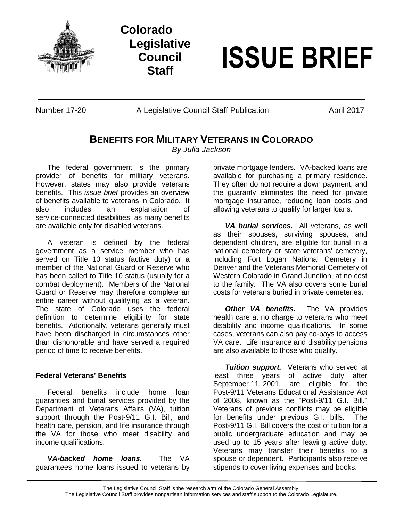

# **Colorado Legislative Council**



Number 17-20 A Legislative Council Staff Publication April 2017

## **BENEFITS FOR MILITARY VETERANS IN COLORADO**

*By Julia Jackson*

The federal government is the primary provider of benefits for military veterans. However, states may also provide veterans benefits. This *issue brief* provides an overview of benefits available to veterans in Colorado. It also includes an explanation of service-connected disabilities, as many benefits are available only for disabled veterans.

A veteran is defined by the federal government as a service member who has served on Title 10 status (active duty) or a member of the National Guard or Reserve who has been called to Title 10 status (usually for a combat deployment). Members of the National Guard or Reserve may therefore complete an entire career without qualifying as a veteran. The state of Colorado uses the federal definition to determine eligibility for state benefits. Additionally, veterans generally must have been discharged in circumstances other than dishonorable and have served a required period of time to receive benefits.

### **Federal Veterans' Benefits**

Federal benefits include home loan guaranties and burial services provided by the Department of Veterans Affairs (VA), tuition support through the Post-9/11 G.I. Bill, and health care, pension, and life insurance through the VA for those who meet disability and income qualifications.

*VA-backed home loans.* The VA guarantees home loans issued to veterans by private mortgage lenders. VA-backed loans are available for purchasing a primary residence. They often do not require a down payment, and the guaranty eliminates the need for private mortgage insurance, reducing loan costs and allowing veterans to qualify for larger loans.

*VA burial services.* All veterans, as well as their spouses, surviving spouses, and dependent children, are eligible for burial in a national cemetery or state veterans' cemetery, including Fort Logan National Cemetery in Denver and the Veterans Memorial Cemetery of Western Colorado in Grand Junction, at no cost to the family. The VA also covers some burial costs for veterans buried in private cemeteries.

*Other VA benefits.* The VA provides health care at no charge to veterans who meet disability and income qualifications. In some cases, veterans can also pay co-pays to access VA care. Life insurance and disability pensions are also available to those who qualify.

*Tuition support.* Veterans who served at least three years of active duty after September 11, 2001, are eligible for the Post-9/11 Veterans Educational Assistance Act of 2008, known as the "Post-9/11 G.I. Bill." Veterans of previous conflicts may be eligible for benefits under previous G.I. bills. The Post-9/11 G.I. Bill covers the cost of tuition for a public undergraduate education and may be used up to 15 years after leaving active duty. Veterans may transfer their benefits to a spouse or dependent. Participants also receive stipends to cover living expenses and books.